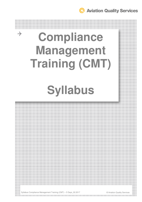# $\rightarrow$ **Compliance Management Training (CMT)**

# **Syllabus**

Syllabus Compliance Management Training (CMT) – 5 Days\_02.2017 © Aviation Quality Services

the contract of the contract of the contract of the contract of the contract of the contract of the contract of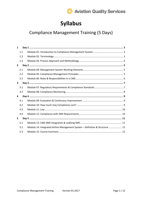

# **Syllabus**

## **Compliance Management Training (5 Days)**

| $\mathbf{1}$ |     |                                                                              |  |
|--------------|-----|------------------------------------------------------------------------------|--|
|              | 1.1 |                                                                              |  |
|              | 1.2 |                                                                              |  |
|              | 1.3 |                                                                              |  |
| $\mathbf{2}$ |     |                                                                              |  |
|              | 2.1 |                                                                              |  |
|              | 2.2 |                                                                              |  |
|              | 2.3 |                                                                              |  |
| 3            |     |                                                                              |  |
|              | 3.1 |                                                                              |  |
|              | 3.2 |                                                                              |  |
| 4            |     |                                                                              |  |
|              | 4.1 |                                                                              |  |
|              | 4.2 |                                                                              |  |
|              | 4.3 |                                                                              |  |
|              | 4.4 |                                                                              |  |
| 5            |     |                                                                              |  |
|              | 5.1 |                                                                              |  |
|              | 5.2 | Module 14: Integrated Airline Management System - Definition & Structure  12 |  |
|              | 5.3 |                                                                              |  |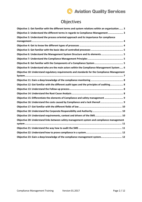## Objectives

| Objective 1: Get familiar with the different terms and system relations within an organization 3 |
|--------------------------------------------------------------------------------------------------|
| Objective 2: Understand the different terms in regards to Compliance Management  3               |
| Objective 3: Understand the process oriented approach and its importance for compliance          |
|                                                                                                  |
|                                                                                                  |
|                                                                                                  |
| Objective 6: Understand the Management System Structure and its elements 5                       |
|                                                                                                  |
|                                                                                                  |
| Objective 9: Understand who are the main actors within the Compliance Management System 6        |
| Objective 10: Understand regulatory requirements and standards for the Compliance Management     |
|                                                                                                  |
|                                                                                                  |
| Objective 12: Get familiar with the different audit types and the principles of auditing 8       |
|                                                                                                  |
|                                                                                                  |
| Objective 15: Differentiate the elements of Compliance and safety management  9                  |
| Objective 16: Understand the costs caused by Compliance and a lack thereof 9                     |
|                                                                                                  |
|                                                                                                  |
|                                                                                                  |
| Objective 20: Understand links between safety management system and compliance management        |
|                                                                                                  |
|                                                                                                  |
|                                                                                                  |
| Objective 23: Gain a deep knowledge of the compliance management system 12                       |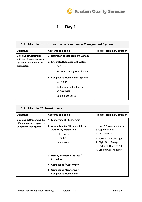## **1 Day 1**

| 1.1 Module 01: Introduction to Compliance Management System      |                                                                                                                                                      |                                      |  |
|------------------------------------------------------------------|------------------------------------------------------------------------------------------------------------------------------------------------------|--------------------------------------|--|
| <b>Objectives</b>                                                | <b>Contents of module</b>                                                                                                                            | <b>Practical Training/Discussion</b> |  |
| <b>Objective 1: Get familiar</b><br>with the different terms and | 1. Definition of Management System                                                                                                                   |                                      |  |
| system relations within an<br>organization                       | 2. Integrated Management System<br>Definition<br>Relations among IMS elements<br>$\bullet$                                                           |                                      |  |
|                                                                  | 3. Compliance Management System<br>Definition<br>$\bullet$<br>Systematic and Independent<br>$\bullet$<br>Comparison<br><b>Compliance Levels</b><br>٠ |                                      |  |

| 1.2 Module 02: Terminology                                          |                                                                                                                                         |                                                                                                                                                                                     |  |
|---------------------------------------------------------------------|-----------------------------------------------------------------------------------------------------------------------------------------|-------------------------------------------------------------------------------------------------------------------------------------------------------------------------------------|--|
| <b>Objectives</b>                                                   | <b>Contents of module</b>                                                                                                               | <b>Practical Training/Discussion</b>                                                                                                                                                |  |
| <b>Objective 2: Understand the</b><br>different terms in regards to | 1. Management / Leadership                                                                                                              |                                                                                                                                                                                     |  |
| <b>Compliance Management</b>                                        | 2. Accountability / Responsibility /<br><b>Authority / Delegation</b><br><b>Differences</b><br>Definitions<br>Relationship<br>$\bullet$ | Define 2 Accountabilities /<br>5 responsibilities /<br>2 Authorities for<br>1. Accountable Manager<br>2. Flight Ops Manager<br>3. Technical Director (145)<br>4. Ground Ops Manager |  |
|                                                                     | 3. Policy / Program / Process /<br>Procedure                                                                                            |                                                                                                                                                                                     |  |
|                                                                     | 4. Compliance / Conformity<br>5. Compliance Monitoring /<br><b>Compliance Management</b>                                                |                                                                                                                                                                                     |  |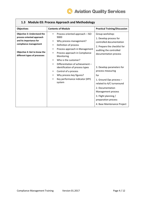

| <b>Objectives</b>                                                                                                                                                                  | <b>Contents of Module</b>                                                                                                                                                                                                                                           | <b>Practical Training/Discussion</b>                                                                                                                                                                                                  |
|------------------------------------------------------------------------------------------------------------------------------------------------------------------------------------|---------------------------------------------------------------------------------------------------------------------------------------------------------------------------------------------------------------------------------------------------------------------|---------------------------------------------------------------------------------------------------------------------------------------------------------------------------------------------------------------------------------------|
| <b>Objective 3: Understand the</b><br>process oriented approach<br>and its importance for<br>compliance management<br>Objective 4: Get to know the<br>different types of processes | Process oriented approach - ISO<br>$\bullet$<br>9000<br>Why process management?<br>$\bullet$<br>Definition of process<br>$\bullet$<br>Process approach in Management<br>$\bullet$<br>Process approach in Compliance<br>$\bullet$                                    | Group workshop:<br>1. Develop process for<br>controlled documentation<br>2. Prepare the checklist for<br>auditing the controlled<br>documentation process                                                                             |
|                                                                                                                                                                                    | Monitoring<br>Who is the customer?<br>$\bullet$<br>Differentiation of achievement -<br>$\bullet$<br>identification of process types<br>Control of a process<br>$\bullet$<br>Why process key figures?<br>٠<br>Key performance indicator (KPI)<br>$\bullet$<br>system | 3. Develop parameters for<br>process measuring<br>for<br>1. Ground Ops process -<br>related to A/C turnaround<br>2. Documentation<br>Management process<br>3. Flight planning /<br>preparation process<br>4. Base Maintenance Project |

#### **1.3 Module 03: Process Approach and Methodology**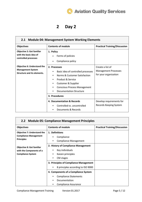#### **2 Day 2**

| 2.1 Module 04: Management System Working Elements                                                    |                                                                                                                                                                                                                                       |                                                                          |
|------------------------------------------------------------------------------------------------------|---------------------------------------------------------------------------------------------------------------------------------------------------------------------------------------------------------------------------------------|--------------------------------------------------------------------------|
| <b>Objectives</b>                                                                                    | <b>Contents of module</b>                                                                                                                                                                                                             | <b>Practical Training/Discussion</b>                                     |
| <b>Objective 5: Get familiar</b><br>with the basic idea of<br>controlled processes                   | 1. Policy<br>Forms of policies<br>Compliance policy                                                                                                                                                                                   |                                                                          |
| <b>Objective 6: Understand the</b><br><b>Management System</b><br><b>Structure and its elements.</b> | 2. Processes<br>Basic idea of controlled processes<br>$\bullet$<br>Norms & Customer Satisfaction<br>$\bullet$<br>Product & Service<br>٠<br>Customer & Supplier<br>٠<br><b>Conscious Process Management</b><br>Documentation Structure | Create a list of<br><b>Management Processes</b><br>for your organization |
|                                                                                                      | 3. Procedures                                                                                                                                                                                                                         |                                                                          |
|                                                                                                      | 4. Documentation & Records<br>Controlled vs. uncontrolled<br>Documents & Records                                                                                                                                                      | Develop requirements for<br>Records Keeping System                       |

| 2.2 Module 05: Compliance Management Principles                    |                                         |                                      |  |
|--------------------------------------------------------------------|-----------------------------------------|--------------------------------------|--|
| <b>Objectives</b>                                                  | <b>Contents of module</b>               | <b>Practical Training/Discussion</b> |  |
| <b>Objective 7: Understand the</b><br><b>Compliance Management</b> | 1. Definitions<br>Compliance            |                                      |  |
| <b>Principles</b>                                                  | <b>Compliance Management</b><br>٠       |                                      |  |
| <b>Objective 8: Get familiar</b>                                   | 2. History of Compliance Management     |                                      |  |
| with the Components of a                                           | Key individuals<br>٠                    |                                      |  |
| <b>Compliance System</b>                                           | Kaizen principles<br>CM stages<br>٠     |                                      |  |
|                                                                    | 3. Principles of Compliance Management  |                                      |  |
|                                                                    | 8 principles according to ISO 9000<br>٠ |                                      |  |
|                                                                    | 4. Components of a Compliance System    |                                      |  |
|                                                                    | <b>Compliance Statements</b><br>٠       |                                      |  |
|                                                                    | Documentation                           |                                      |  |
|                                                                    | Compliance Assurance                    |                                      |  |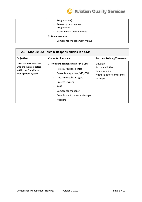

| Programme(s)<br>Reviews / Improvement<br>$\bullet$<br>Programmes<br><b>Management Commitments</b><br>$\bullet$ |  |
|----------------------------------------------------------------------------------------------------------------|--|
| 5. Documentation                                                                                               |  |
| <b>Compliance Management Manual</b>                                                                            |  |

#### **2.3 Module 06: Roles & Responsibilities in a CMS**

| <b>Objectives</b>                                                                                              | <b>Contents of module</b>                                                                                                                                                                                                                                                                               | <b>Practical Training/Discussion</b>                                                     |
|----------------------------------------------------------------------------------------------------------------|---------------------------------------------------------------------------------------------------------------------------------------------------------------------------------------------------------------------------------------------------------------------------------------------------------|------------------------------------------------------------------------------------------|
| <b>Objective 9: Understand</b><br>who are the main actors<br>within the Compliance<br><b>Management System</b> | 1. Roles and responsibilities in a CMS<br>Roles & Responsibilities<br>٠<br>Senior Management/MD/CEO<br>٠<br><b>Departmental Managers</b><br>٠<br><b>Process Owners</b><br>٠<br>Staff<br>٠<br><b>Compliance Manager</b><br>$\bullet$<br><b>Compliance Assurance Manager</b><br>٠<br><b>Auditors</b><br>٠ | Develop<br>Accountabilities<br>Responsibilities<br>Authorities for Compliance<br>Manager |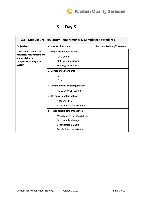$\overline{\phantom{0}}$ 

## **3 Day 3**

 $\mathbf{r}$ 

| <b>Module 07: Regulatory Requirements &amp; Compliance Standards</b><br>3.1                                                   |                                                                                                                                                                                                                                                                                                              |                                      |
|-------------------------------------------------------------------------------------------------------------------------------|--------------------------------------------------------------------------------------------------------------------------------------------------------------------------------------------------------------------------------------------------------------------------------------------------------------|--------------------------------------|
| <b>Objectives</b>                                                                                                             | <b>Contents of module</b>                                                                                                                                                                                                                                                                                    | <b>Practical Training/Discussion</b> |
| <b>Objective 10: Understand</b><br>regulatory requirements and<br>standards for the<br><b>Compliance Management</b><br>System | 1. Regulatory Requirements:<br><b>ICAO SARPS</b><br>$\bullet$<br><b>EC Regulations (EASA)</b><br>$\bullet$<br><b>FAA Regulations FAR</b>                                                                                                                                                                     |                                      |
|                                                                                                                               | 2. Compliance Standards<br><b>ISO</b><br><b>IOSA</b><br>3. Compliance Monitoring System<br>AMC1 ORO.GEN.200(a)(6)<br>4. Organizational Structure<br>ORO.AOC.135<br>Management / Postholder<br>$\bullet$<br>5. Responsibilities/Competence<br>Management Responsibilities<br>$\bullet$<br>Accountable Manager |                                      |
|                                                                                                                               | <b>Organizational Chart</b><br>Post-holder competence                                                                                                                                                                                                                                                        |                                      |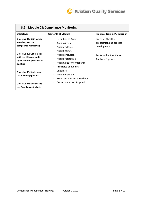

| 3.2 Module 08: Compliance Monitoring                                                                     |                                                                                                                                        |                                                               |  |
|----------------------------------------------------------------------------------------------------------|----------------------------------------------------------------------------------------------------------------------------------------|---------------------------------------------------------------|--|
| <b>Objectives</b>                                                                                        | <b>Contents of Module</b>                                                                                                              | <b>Practical Training/Discussion</b>                          |  |
| Objective 11: Gain a deep<br>knowledge of the<br>compliance monitoring                                   | Definition of Audit<br>$\bullet$<br>Audit criteria<br>٠<br>Audit evidence<br>٠                                                         | Exercise: Checklist<br>preparation and process<br>development |  |
| <b>Objective 12: Get familiar</b><br>with the different audit<br>types and the principles of<br>auditing | Audit findings<br>٠<br>Audit conclusion<br>٠<br>Audit Programme<br>٠<br>Audit types for compliance<br>٠<br>Principles of auditing<br>٠ | Perform the Root Cause<br>Analysis: 3 groups                  |  |
| <b>Objective 13: Understand</b><br>the Follow-up process                                                 | Checklists<br>Audit Follow-up<br>٠<br>Root Cause Analysis Methods<br>٠                                                                 |                                                               |  |
| <b>Objective 14: Understand</b><br>the Root Cause Analysis                                               | <b>Corrective action Proposal</b><br>٠                                                                                                 |                                                               |  |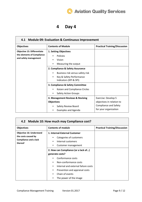#### **4 Day 4**

| 4.1 Module 09: Evaluation & Continuous Improvement                                        |                                                                                                                            |                                                                                                           |
|-------------------------------------------------------------------------------------------|----------------------------------------------------------------------------------------------------------------------------|-----------------------------------------------------------------------------------------------------------|
| <b>Objectives</b>                                                                         | <b>Contents of Module</b>                                                                                                  | <b>Practical Training/Discussion</b>                                                                      |
| <b>Objective 15: Differentiate</b><br>the elements of Compliance<br>and safety management | 1. Setting Objectives<br>Policies<br>Vision<br>Measuring the output                                                        |                                                                                                           |
|                                                                                           | 2. Compliance & Safety Assurance<br>Business risk versus safety risk<br>Key & Safety Performance<br>Indicators (KPI & SPI) |                                                                                                           |
|                                                                                           | 3. Compliance & Safety Committee<br>Kaizen and Compliance Circles<br><b>Safety Action Groups</b><br>$\bullet$              |                                                                                                           |
|                                                                                           | 4. Management Reviews & Revising<br><b>Objectives</b><br>Safety Review Board<br><b>Examples and Agenda</b>                 | Exercise: Develop 5<br>objectives in relation to<br><b>Compliance and Safety</b><br>for your organization |

| 4.2 Module 10: How much may Compliance cost?                                                      |                                                                                                                      |                                      |
|---------------------------------------------------------------------------------------------------|----------------------------------------------------------------------------------------------------------------------|--------------------------------------|
| <b>Objectives</b>                                                                                 | <b>Contents of module</b>                                                                                            | <b>Practical Training/Discussion</b> |
| <b>Objective 16: Understand</b><br>the costs caused by<br><b>Compliance and a lack</b><br>thereof | 1. Internal-External Customer<br>Categories of customers<br>٠<br>Internal customers<br>٠<br>Customer management<br>٠ |                                      |
|                                                                                                   | 2. How can Compliance (or a lack of)                                                                                 |                                      |
|                                                                                                   | generate costs?                                                                                                      |                                      |
|                                                                                                   | Conformance costs<br>٠                                                                                               |                                      |
|                                                                                                   | Non-conformance costs<br>٠                                                                                           |                                      |
|                                                                                                   | Internal and external failure costs<br>٠                                                                             |                                      |
|                                                                                                   | Prevention and appraisal costs<br>٠                                                                                  |                                      |
|                                                                                                   | Chain of events<br>٠                                                                                                 |                                      |
|                                                                                                   | The power of the image                                                                                               |                                      |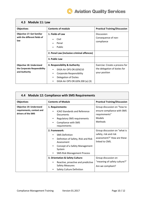

 $\overline{\phantom{0}}$ 

| 4.3 Module 11: Law                                                               |                                                                                                                                                                                              |                                                                                 |
|----------------------------------------------------------------------------------|----------------------------------------------------------------------------------------------------------------------------------------------------------------------------------------------|---------------------------------------------------------------------------------|
| <b>Objectives</b>                                                                | <b>Contents of module</b>                                                                                                                                                                    | <b>Practical Training/Discussion</b>                                            |
| <b>Objective 17: Get familiar</b><br>with the different fields of<br>law         | 1. Fields of Law<br>Civil<br>$\bullet$<br>Penal<br>$\bullet$<br>Public<br>$\bullet$                                                                                                          | Discussion:<br>Consequence of non-<br>compliance                                |
|                                                                                  | 2. Penal Law (inclusive criminal offences)                                                                                                                                                   |                                                                                 |
|                                                                                  | 3. Public Law                                                                                                                                                                                |                                                                                 |
| <b>Objective 18: Understand</b><br>the Corporate Responsibility<br>and Authority | 4. Responsibility & Authority<br>EASA Air OPS OR GEN210<br>٠<br>Corporate Responsibility<br>$\bullet$<br>Delegation of Duties<br>$\bullet$<br>EASA Air OPS OR. GEN. 200 (a) (3)<br>$\bullet$ | Exercise: Create a process for<br>the delegation of duties for<br>your position |

 $\Gamma$ 

| 4.4 Module 12: Compliance with SMS Requirements                                    |                                                                                                                                                                               |                                                                                                       |
|------------------------------------------------------------------------------------|-------------------------------------------------------------------------------------------------------------------------------------------------------------------------------|-------------------------------------------------------------------------------------------------------|
| <b>Objectives</b>                                                                  | <b>Contents of Module</b>                                                                                                                                                     | <b>Practical Training/Discussion</b>                                                                  |
| <b>Objective 19: Understand</b><br>requirements, context and<br>drivers of the SMS | 1. Requirements:<br><b>ICAO Standards and Reference</b><br>Documents<br><b>Regulatory SMS requirements</b><br>$\bullet$<br>Compliance with SMS<br>$\bullet$<br>requirements   | Group discussion on "how to<br>ensure compliance with SMS<br>requirements"<br>Models<br>Methods       |
|                                                                                    | 2. Framework:<br><b>SMS Definition</b><br>Definition of Safety, Risk and Risk<br>Assessment<br>Concept of a Safety Management<br>System<br><b>SMS Risk Management Process</b> | Group discussion on "what is<br>safety, risk and risk<br>assessment?" How are these<br>linked to CMS. |
|                                                                                    | 3. Orientation & Safety Culture:<br>Reactive, proactive and predictive<br><b>Safety Measures</b><br>Safety Culture Definition                                                 | Group discussion on<br>"meaning of safety culture?"<br>Are we compliant?                              |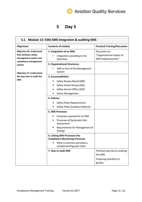$\overline{\phantom{0}}$ 

## **5 Day 5**

 $\mathbf{r}$ 

| 5.1 Module 13: CMS-SMS Integration & auditing SMS                                                                                                                                                |                                                                                                                                                         |                                                                                  |
|--------------------------------------------------------------------------------------------------------------------------------------------------------------------------------------------------|---------------------------------------------------------------------------------------------------------------------------------------------------------|----------------------------------------------------------------------------------|
| <b>Objectives</b>                                                                                                                                                                                | <b>Contents of module</b>                                                                                                                               | <b>Practical Training/Discussion</b>                                             |
| <b>Objective 20: Understand</b><br>links between safety<br>management system and<br>compliance management<br>system<br><b>Objective 21: Understand</b><br>the way how to audit the<br><b>SMS</b> | 1. Integration of an SMS:<br>Integration according to the<br>Definition<br>2. Organizational Structures:<br>SMS as Part of the Management               | Discussion on<br>"Organizational impact of<br>SMS implementation"                |
|                                                                                                                                                                                                  | System<br>3. Accountabilities:                                                                                                                          |                                                                                  |
|                                                                                                                                                                                                  | Safety Review Board (SRB)<br>Safety Action Group (SAG)<br>Safety Service Office (SSO)<br>Senior Management                                              |                                                                                  |
|                                                                                                                                                                                                  | 4. Policies:<br><b>Safety Policy Requirements</b><br><b>Safety Policy Guidance Material</b>                                                             |                                                                                  |
|                                                                                                                                                                                                  | <b>5. SMS Processes</b><br>Processes required for an SMS<br>Processes of Systematic Risk<br>٠<br>Assessment<br>Requirements for Management of<br>Change |                                                                                  |
|                                                                                                                                                                                                  | 6. Linking SMS Processes into<br><b>Compliance Monitoring Processes</b><br>What is common and what is<br>complementing each other                       |                                                                                  |
|                                                                                                                                                                                                  | 7. How to audit SMS                                                                                                                                     | Practical exercise on auditing<br>the SMS.<br>Preparing checklists in<br>groups. |